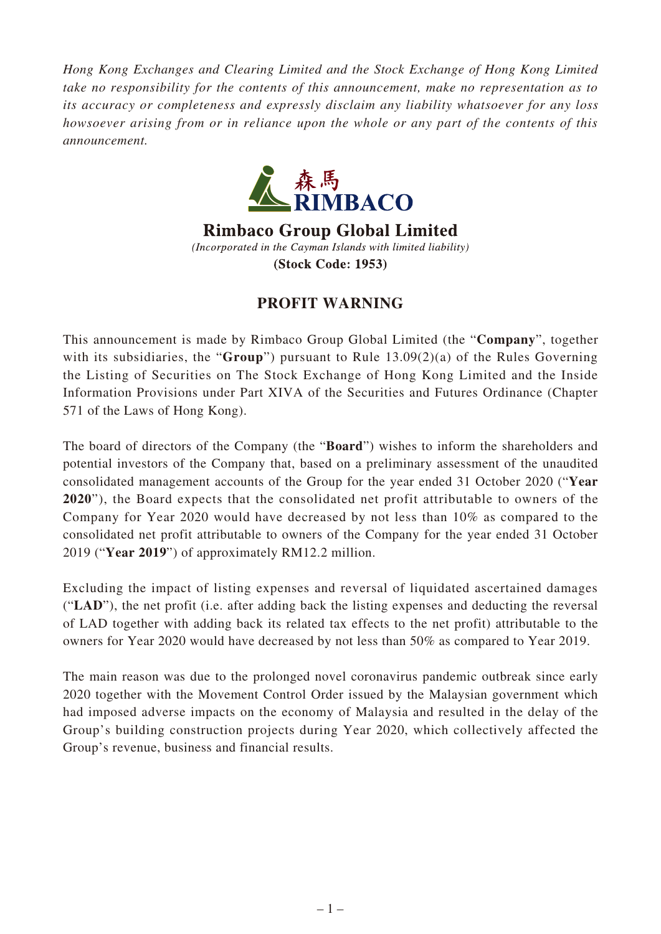*Hong Kong Exchanges and Clearing Limited and the Stock Exchange of Hong Kong Limited take no responsibility for the contents of this announcement, make no representation as to its accuracy or completeness and expressly disclaim any liability whatsoever for any loss howsoever arising from or in reliance upon the whole or any part of the contents of this announcement.*



**Rimbaco Group Global Limited** (Incorporated in the Cayman Islands with limited liability) (Stock Code: 1953)

## **PROFIT WARNING**

This announcement is made by Rimbaco Group Global Limited (the "**Company**", together with its subsidiaries, the "**Group**") pursuant to Rule 13.09(2)(a) of the Rules Governing the Listing of Securities on The Stock Exchange of Hong Kong Limited and the Inside Information Provisions under Part XIVA of the Securities and Futures Ordinance (Chapter 571 of the Laws of Hong Kong).

The board of directors of the Company (the "**Board**") wishes to inform the shareholders and potential investors of the Company that, based on a preliminary assessment of the unaudited consolidated management accounts of the Group for the year ended 31 October 2020 ("**Year 2020**"), the Board expects that the consolidated net profit attributable to owners of the Company for Year 2020 would have decreased by not less than 10% as compared to the consolidated net profit attributable to owners of the Company for the year ended 31 October 2019 ("**Year 2019**") of approximately RM12.2 million.

Excluding the impact of listing expenses and reversal of liquidated ascertained damages ("**LAD**"), the net profit (i.e. after adding back the listing expenses and deducting the reversal of LAD together with adding back its related tax effects to the net profit) attributable to the owners for Year 2020 would have decreased by not less than 50% as compared to Year 2019.

The main reason was due to the prolonged novel coronavirus pandemic outbreak since early 2020 together with the Movement Control Order issued by the Malaysian government which had imposed adverse impacts on the economy of Malaysia and resulted in the delay of the Group's building construction projects during Year 2020, which collectively affected the Group's revenue, business and financial results.